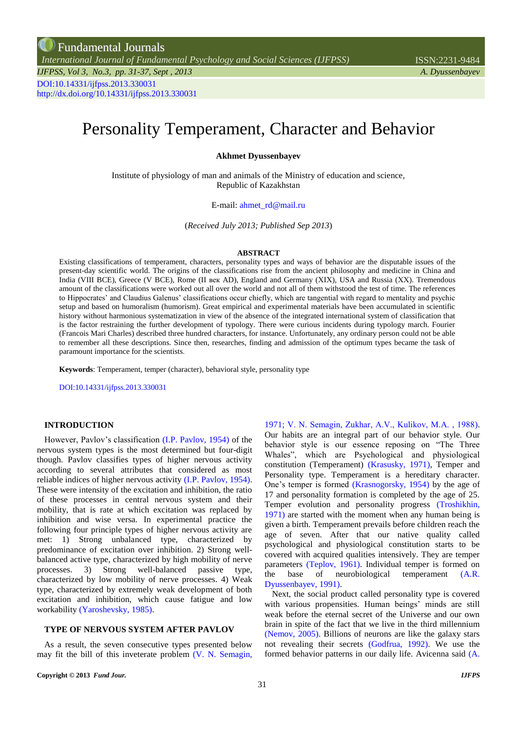*[International Journal of Fundamental Psychology and Social Sciences \(IJFPSS\)](http://fundamentaljournals.org/ijfpss/index.html)* ISSN:2231-9484

# Personality Temperament, Character and Behavior

**Akhmet Dyussenbayev**

Institute of physiology of man and animals of the Ministry of education and science, Republic of Kazakhstan

E-mail: ahmet\_rd@mail.ru

(*Received July 2013; Published Sep 2013*)

#### **ABSTRACT**

Existing classifications of temperament, characters, personality types and ways of behavior are the disputable issues of the present-day scientific world. The origins of the classifications rise from the ancient philosophy and medicine in China and India (VIII BCE), Greece (V BCE), Rome (II век AD), England and Germany (ХIХ), USA and Russia (ХХ). Tremendous amount of the classifications were worked out all over the world and not all of them withstood the test of time. The references to Hippocrates' and Claudius Galenus' classifications occur chiefly, which are tangential with regard to mentality and psychic setup and based on humoralism (humorism). Great empirical and experimental materials have been accumulated in scientific history without harmonious systematization in view of the absence of the integrated international system of classification that is the factor restraining the further development of typology. There were curious incidents during typology march. Fourier (Francois Mari Charles) described three hundred characters, for instance. Unfortunately, any ordinary person could not be able to remember all these descriptions. Since then, researches, finding and admission of the optimum types became the task of paramount importance for the scientists.

**Keywords**: Temperament, temper (character), behavioral style, personality type

DOI:10.14331/ijfpss.2013.330031

## **INTRODUCTION**

However, Pavlov's classification (I.P. [Pavlov, 1954\)](#page-5-0) of the nervous system types is the most determined but four-digit though. Pavlov classifies types of higher nervous activity according to several attributes that considered as most reliable indices of higher nervous activity [\(I.P. Pavlov, 1954\)](#page-5-1). These were intensity of the excitation and inhibition, the ratio of these processes in central nervous system and their mobility, that is rate at which excitation was replaced by inhibition and wise versa. In experimental practice the following four principle types of higher nervous activity are met: 1) Strong unbalanced type, characterized by predominance of excitation over inhibition. 2) Strong wellbalanced active type, characterized by high mobility of nerve processes. 3) Strong well-balanced passive type, characterized by low mobility of nerve processes. 4) Weak type, characterized by extremely weak development of both excitation and inhibition, which cause fatigue and low workability [\(Yaroshevsky, 1985\)](#page-5-2).

## **TYPE OF NERVOUS SYSTEM AFTER PAVLOV**

As a result, the seven consecutive types presented below may fit the bill of this inveterate problem [\(V. N. Semagin,](#page-5-3) 

[1971;](#page-5-3) [V. N. Semagin, Zukhar, А.V., Kulikov, М.А. , 1988\)](#page-5-4). Our habits are an integral part of our behavior style. Our behavior style is our essence reposing on "The Three Whales", which are Psychological and physiological constitution (Temperament) [\(Krasusky, 1971\)](#page-5-5), Temper and Personality type. Temperament is a hereditary character. One's temper is formed [\(Krasnogorsky, 1954\)](#page-5-6) by the age of 17 and personality formation is completed by the age of 25. Temper evolution and personality progress [\(Troshikhin,](#page-5-7)  [1971\)](#page-5-7) are started with the moment when any human being is given a birth. Temperament prevails before children reach the age of seven. After that our native quality called psychological and physiological constitution starts to be covered with acquired qualities intensively. They are temper parameters [\(Teplov, 1961\)](#page-5-8). Individual temper is formed on the base of neurobiological temperament [\(A.R.](#page-5-9)  [Dyussenbayev, 1991\)](#page-5-9).

Next, the social product called personality type is covered with various propensities. Human beings' minds are still weak before the eternal secret of the Universe and our own brain in spite of the fact that we live in the third millennium [\(Nemov, 2005\)](#page-5-10). Billions of neurons are like the galaxy stars not revealing their secrets [\(Godfrua, 1992\)](#page-5-11). We use the formed behavior patterns in our daily life. Avicenna said [\(A.](#page-5-12)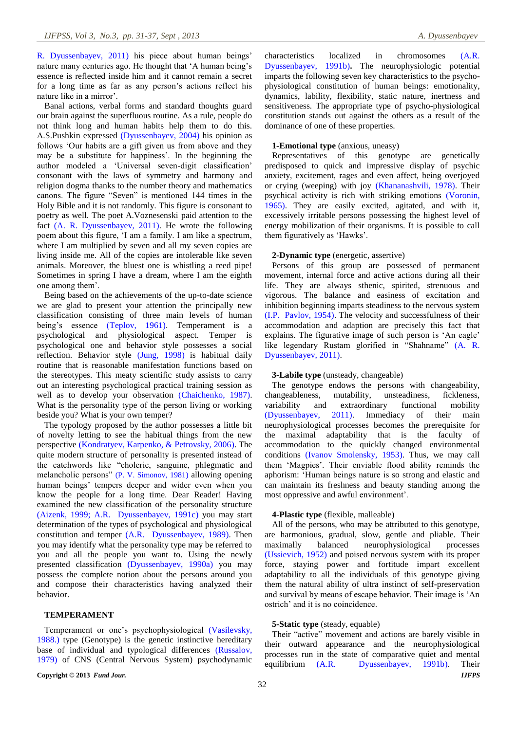R. Dyussenbayev, 2011) his piece about human beings' nature many centuries ago. He thought that 'A human being's essence is reflected inside him and it cannot remain a secret for a long time as far as any person's actions reflect his nature like in a mirror'.

Banal actions, verbal forms and standard thoughts guard our brain against the superfluous routine. As a rule, people do not think long and human habits help them to do this. А.S.Pushkin expressed [\(Dyussenbayev, 2004\)](#page-5-13) his opinion as follows 'Our habits are a gift given us from above and they may be a substitute for happiness'. In the beginning the author modeled a 'Universal seven-digit classification' consonant with the laws of symmetry and harmony and religion dogma thanks to the number theory and mathematics canons. The figure "Seven" is mentioned 144 times in the Holy Bible and it is not randomly. This figure is consonant to poetry as well. The poet A.Voznesenski paid attention to the fact [\(A. R. Dyussenbayev, 2011\)](#page-5-12). He wrote the following poem about this figure, 'I am a family. I am like a spectrum, where I am multiplied by seven and all my seven copies are living inside me. All of the copies are intolerable like seven animals. Moreover, the bluest one is whistling a reed pipe! Sometimes in spring I have a dream, where I am the eighth one among them'.

Being based on the achievements of the up-to-date science we are glad to present your attention the principally new classification consisting of three main levels of human being's essence [\(Teplov, 1961\)](#page-5-8). Temperament is a psychological and physiological aspect. Temper is psychological one and behavior style possesses a social reflection. Behavior style [\(Jung, 1998\)](#page-5-14) is habitual daily routine that is reasonable manifestation functions based on the stereotypes. This meaty scientific study assists to carry out an interesting psychological practical training session as well as to develop your observation [\(Chaichenko, 1987\)](#page-4-0). What is the personality type of the person living or working beside you? What is your own temper?

The typology proposed by the author possesses a little bit of novelty letting to see the habitual things from the new perspective [\(Kondratyev, Karpenko, & Petrovsky, 2006\)](#page-5-15). The quite modern structure of personality is presented instead of the catchwords like "choleric, sanguine, phlegmatic and melancholic persons" [\(P. V. Simonov, 1981\)](#page-5-16) allowing opening human beings' tempers deeper and wider even when you know the people for a long time. Dear Reader! Having examined the new classification of the personality structure [\(Aizenk, 1999;](#page-4-1) [A.R. Dyussenbayev, 1991c\)](#page-5-17) you may start determination of the types of psychological and physiological constitution and temper [\(A.R. Dyussenbayev, 1989\)](#page-4-2). Then you may identify what the personality type may be referred to you and all the people you want to. Using the newly presented classification [\(Dyussenbayev, 1990a\)](#page-5-18) you may possess the complete notion about the persons around you and compose their characteristics having analyzed their behavior.

#### **TEMPERAMENT**

Temperament or one's psychophysiological [\(Vasilevsky,](#page-5-19)  [1988.\)](#page-5-19) type (Genotype) is the genetic instinctive hereditary base of individual and typological differences [\(Russalov,](#page-5-20)  [1979\)](#page-5-20) of CNS (Central Nervous System) psychodynamic

**Copyright © 2013** *Fund Jour. IJFPS*

characteristics localized in chromosomes [\(A.R.](#page-5-21)  [Dyussenbayev, 1991b\)](#page-5-21)**.** The neurophysiologic potential imparts the following seven key characteristics to the psychophysiological constitution of human beings: emotionality, dynamics, lability, flexibility, static nature, inertness and sensitiveness. The appropriate type of psycho-physiological constitution stands out against the others as a result of the dominance of one of these properties.

## **1-Emotional type** (anxious, uneasy)

Representatives of this genotype are genetically predisposed to quick and impressive display of psychic anxiety, excitement, rages and even affect, being overjoyed or crying (weeping) with joy [\(Khananashvili, 1978\)](#page-5-22). Their psychical activity is rich with striking emotions [\(Voronin,](#page-5-23)  [1965\)](#page-5-23). They are easily excited, agitated, and with it, excessively irritable persons possessing the highest level of energy mobilization of their organisms. It is possible to call them figuratively as 'Hawks'.

#### **2-Dynamic type** (energetic, assertive)

Persons of this group are possessed of permanent movement, internal force and active actions during all their life. They are always sthenic, spirited, strenuous and vigorous. The balance and easiness of excitation and inhibition beginning imparts steadiness to the nervous system [\(I.P. Pavlov, 1954\)](#page-5-24). The velocity and successfulness of their accommodation and adaption are precisely this fact that explains. The figurative image of such person is 'An eagle' like legendary Rustam glorified in "Shahname" [\(A. R.](#page-5-12)  [Dyussenbayev, 2011\)](#page-5-12).

## **3-Labile type** (unsteady, changeable)

The genotype endows the persons with changeability, changeableness, mutability, unsteadiness, fickleness, variability and extraordinary functional mobility [\(Dyussenbayev, 2011\)](#page-4-3). Immediacy of their main neurophysiological processes becomes the prerequisite for the maximal adaptability that is the faculty of accommodation to the quickly changed environmental conditions [\(Ivanov Smolensky, 1953\)](#page-5-25). Thus, we may call them 'Magpies'. Their enviable flood ability reminds the aphorism: 'Human beings nature is so strong and elastic and can maintain its freshness and beauty standing among the most oppressive and awful environment'.

#### **4-Plastic type** (flexible, malleable)

All of the persons, who may be attributed to this genotype, are harmonious, gradual, slow, gentle and pliable. Their maximally balanced neurophysiological processes [\(Ussievich, 1952\)](#page-5-26) and poised nervous system with its proper force, staying power and fortitude impart excellent adaptability to all the individuals of this genotype giving them the natural ability of ultra instinct of self-preservation and survival by means of escape behavior. Their image is 'An ostrich' and it is no coincidence.

#### **5-Static type** (steady, equable)

Their "active" movement and actions are barely visible in their outward appearance and the neurophysiological processes run in the state of comparative quiet and mental equilibrium [\(A.R. Dyussenbayev, 1991b\)](#page-5-27). Their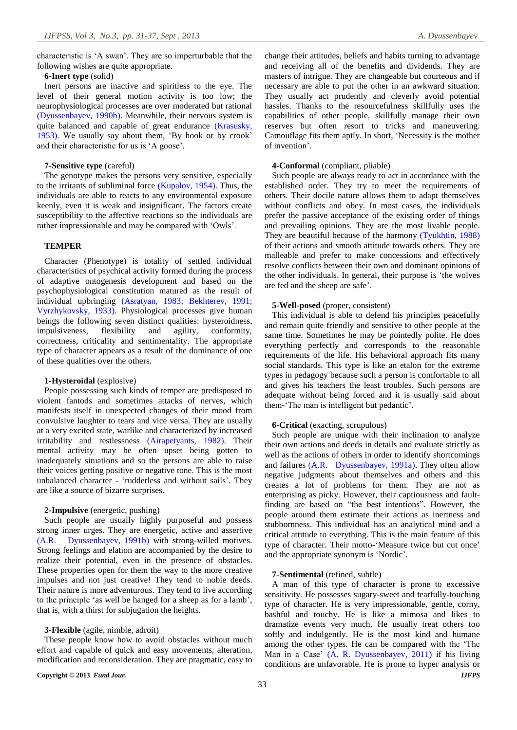## **6-Inert type** (solid)

Inert persons are inactive and spiritless to the eye. The level of their general motion activity is too low; the neurophysiological processes are over moderated but rational [\(Dyussenbayev, 1990b\)](#page-5-28). Meanwhile, their nervous system is quite balanced and capable of great endurance [\(Krasusky,](#page-5-29)  [1953\)](#page-5-29). We usually say about them, 'By hook or by crook' and their characteristic for us is 'A goose'.

#### **7-Sensitive type** (careful)

The genotype makes the persons very sensitive, especially to the irritants of subliminal force [\(Kupalov, 1954\)](#page-5-30). Thus, the individuals are able to reacts to any environmental exposure keenly, even it is weak and insignificant. The factors create susceptibility to the affective reactions so the individuals are rather impressionable and may be compared with 'Owls'.

## **TEMPER**

Character (Phenotype) is totality of settled individual characteristics of psychical activity formed during the process of adaptive ontogenesis development and based on the psychophysiological constitution matured as the result of individual upbringing [\(Asratyan, 1983;](#page-4-4) [Bekhterev, 1991;](#page-4-5) [Vyrzhykovsky, 1933\)](#page-5-31). Physiological processes give human beings the following seven distinct qualities: hysteroidness, impulsiveness, flexibility and agility, conformity, correctness, criticality and sentimentality. The appropriate type of character appears as a result of the dominance of one of these qualities over the others.

## **1-Hysteroidal** (explosive)

People possessing such kinds of temper are predisposed to violent fantods and sometimes attacks of nerves, which manifests itself in unexpected changes of their mood from convulsive laughter to tears and vice versa. They are usually at a very excited state, warlike and characterized by increased irritability and restlessness [\(Airapetyants, 1982\)](#page-4-6). Their mental activity may be often upset being gotten to inadequately situations and so the persons are able to raise their voices getting positive or negative tone. This is the most unbalanced character - 'rudderless and without sails'. They are like a source of bizarre surprises.

#### **2-Impulsive** (energetic, pushing)

Such people are usually highly purposeful and possess strong inner urges. They are energetic, active and assertive [\(A.R. Dyussenbayev, 1991b\)](#page-5-21) with strong-willed motives. Strong feelings and elation are accompanied by the desire to realize their potential, even in the presence of obstacles. These properties open for them the way to the more creative impulses and not just creative! They tend to noble deeds. Their nature is more adventurous. They tend to live according to the principle 'as well be hanged for a sheep as for a lamb', that is, with a thirst for subjugation the heights.

## **3-Flexible** (agile, nimble, adroit)

These people know how to avoid obstacles without much effort and capable of quick and easy movements, alteration, modification and reconsideration. They are pragmatic, easy to change their attitudes, beliefs and habits turning to advantage and receiving all of the benefits and dividends. They are masters of intrigue. They are changeable but courteous and if necessary are able to put the other in an awkward situation. They usually act prudently and cleverly avoid potential hassles. Thanks to the resourcefulness skillfully uses the capabilities of other people, skillfully manage their own reserves but often resort to tricks and maneuvering. Camouflage fits them aptly. In short, 'Necessity is the mother of invention'.

## **4-Conformal** (compliant, pliable)

Such people are always ready to act in accordance with the established order. They try to meet the requirements of others. Their docile nature allows them to adapt themselves without conflicts and obey. In most cases, the individuals prefer the passive acceptance of the existing order of things and prevailing opinions. They are the most livable people. They are beautiful because of the harmony [\(Tyukhtin, 1988\)](#page-5-32) of their actions and smooth attitude towards others. They are malleable and prefer to make concessions and effectively resolve conflicts between their own and dominant opinions of the other individuals. In general, their purpose is 'the wolves are fed and the sheep are safe'.

## **5-Well-posed** (proper, consistent)

This individual is able to defend his principles peacefully and remain quite friendly and sensitive to other people at the same time. Sometimes he may be pointedly polite. He does everything perfectly and corresponds to the reasonable requirements of the life. His behavioral approach fits many social standards. This type is like an etalon for the extreme types in pedagogy because such a person is comfortable to all and gives his teachers the least troubles. Such persons are adequate without being forced and it is usually said about them-'The man is intelligent but pedantic'.

## **6-Critical** (exacting, scrupulous)

Such people are unique with their inclination to analyze their own actions and deeds in details and evaluate strictly as well as the actions of others in order to identify shortcomings and failures [\(A.R. Dyussenbayev, 1991a\)](#page-5-33). They often allow negative judgments about themselves and others and this creates a lot of problems for them. They are not as enterprising as picky. However, their captiousness and faultfinding are based on "the best intentions". However, the people around them estimate their actions as inertness and stubbornness. This individual has an analytical mind and a critical attitude to everything. This is the main feature of this type of character. Their motto-'Measure twice but cut once' and the appropriate synonym is 'Nordic'.

## **7-Sentimental** (refined, subtle)

A man of this type of character is prone to excessive sensitivity. He possesses sugary-sweet and tearfully-touching type of character. He is very impressionable, gentle, corny, bashful and touchy. He is like a mimosa and likes to dramatize events very much. He usually treat others too softly and indulgently. He is the most kind and humane among the other types. He can be compared with the 'The Man in a Case' [\(A. R. Dyussenbayev, 2011\)](#page-5-12) if his living conditions are unfavorable. He is prone to hyper analysis or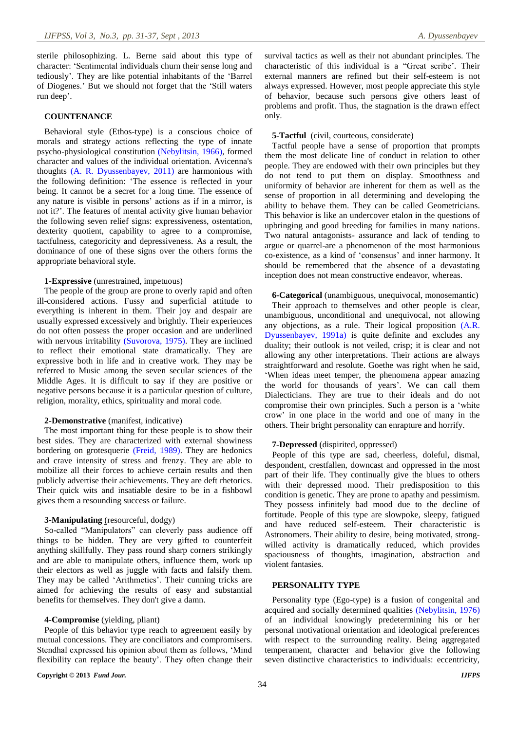sterile philosophizing. L. Berne said about this type of character: 'Sentimental individuals churn their sense long and tediously'. They are like potential inhabitants of the 'Barrel of Diogenes.' But we should not forget that the 'Still waters run deep'.

#### **COUNTENANCE**

Behavioral style (Ethos-type) is a conscious choice of morals and strategy actions reflecting the type of innate psycho-physiological constitution [\(Nebylitsin, 1966\)](#page-5-34), formed character and values of the individual orientation. Avicenna's thoughts [\(A. R. Dyussenbayev, 2011\)](#page-5-12) are harmonious with the following definition: 'The essence is reflected in your being. It cannot be a secret for a long time. The essence of any nature is visible in persons' actions as if in a mirror, is not it?'. The features of mental activity give human behavior the following seven relief signs: expressiveness, ostentation, dexterity quotient, capability to agree to a compromise, tactfulness, categoricity and depressiveness. As a result, the dominance of one of these signs over the others forms the appropriate behavioral style.

#### **1-Expressive** (unrestrained, impetuous)

The people of the group are prone to overly rapid and often ill-considered actions. Fussy and superficial attitude to everything is inherent in them. Their joy and despair are usually expressed excessively and brightly. Their experiences do not often possess the proper occasion and are underlined with nervous irritability [\(Suvorova, 1975\)](#page-5-35). They are inclined to reflect their emotional state dramatically. They are expressive both in life and in creative work. They may be referred to Music among the seven secular sciences of the Middle Ages. It is difficult to say if they are positive or negative persons because it is a particular question of culture, religion, morality, ethics, spirituality and moral code.

#### **2-Demonstrative** (manifest, indicative)

The most important thing for these people is to show their best sides. They are characterized with external showiness bordering on grotesquerie [\(Freid, 1989\)](#page-5-36). They are hedonics and crave intensity of stress and frenzy. They are able to mobilize all their forces to achieve certain results and then publicly advertise their achievements. They are deft rhetorics. Their quick wits and insatiable desire to be in a fishbowl gives them a resounding success or failure.

## **3-Manipulating** (resourceful, dodgy)

So-called "Manipulators" can cleverly pass audience off things to be hidden. They are very gifted to counterfeit anything skillfully. They pass round sharp corners strikingly and are able to manipulate others, influence them, work up their electors as well as juggle with facts and falsify them. They may be called 'Arithmetics'. Their cunning tricks are aimed for achieving the results of easy and substantial benefits for themselves. They don't give a damn.

## **4-Compromise** (yielding, pliant)

People of this behavior type reach to agreement easily by mutual concessions. They are conciliators and compromisers. Stendhal expressed his opinion about them as follows, 'Mind flexibility can replace the beauty'. They often change their survival tactics as well as their not abundant principles. The characteristic of this individual is a "Great scribe'. Their external manners are refined but their self-esteem is not always expressed. However, most people appreciate this style of behavior, because such persons give others least of problems and profit. Thus, the stagnation is the drawn effect only.

**5-Tactful** (civil, courteous, considerate)

Tactful people have a sense of proportion that prompts them the most delicate line of conduct in relation to other people. They are endowed with their own principles but they do not tend to put them on display. Smoothness and uniformity of behavior are inherent for them as well as the sense of proportion in all determining and developing the ability to behave them. They can be called Geometricians. This behavior is like an undercover etalon in the questions of upbringing and good breeding for families in many nations. Two natural antagonists- assurance and lack of tending to argue or quarrel-are a phenomenon of the most harmonious co-existence, as a kind of 'consensus' and inner harmony. It should be remembered that the absence of a devastating inception does not mean constructive endeavor, whereas.

**6-Categorical** (unambiguous, unequivocal, monosemantic) Their approach to themselves and other people is clear, unambiguous, unconditional and unequivocal, not allowing any objections, as a rule. Their logical proposition [\(A.R.](#page-5-37)  [Dyussenbayev, 1991a\)](#page-5-37) is quite definite and excludes any duality; their outlook is not veiled, crisp; it is clear and not allowing any other interpretations. Their actions are always straightforward and resolute. Goethe was right when he said, 'When ideas meet temper, the phenomena appear amazing the world for thousands of years'. We can call them Dialecticians. They are true to their ideals and do not compromise their own principles. Such a person is a 'white crow' in one place in the world and one of many in the others. Their bright personality can enrapture and horrify.

## **7-Depressed** (dispirited, oppressed)

People of this type are sad, cheerless, doleful, dismal, despondent, crestfallen, downcast and oppressed in the most part of their life. They continually give the blues to others with their depressed mood. Their predisposition to this condition is genetic. They are prone to apathy and pessimism. They possess infinitely bad mood due to the decline of fortitude. People of this type are slowpoke, sleepy, fatigued and have reduced self-esteem. Their characteristic is Astronomers. Their ability to desire, being motivated, strongwilled activity is dramatically reduced, which provides spaciousness of thoughts, imagination, abstraction and violent fantasies.

## **PERSONALITY TYPE**

Personality type (Ego-type) is a fusion of congenital and acquired and socially determined qualities [\(Nebylitsin, 1976\)](#page-5-38) of an individual knowingly predetermining his or her personal motivational orientation and ideological preferences with respect to the surrounding reality. Being aggregated temperament, character and behavior give the following seven distinctive characteristics to individuals: eccentricity,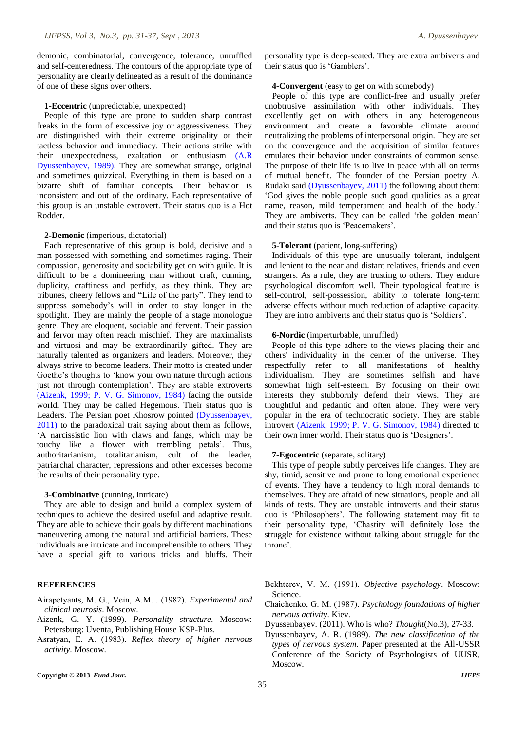demonic, combinatorial, convergence, tolerance, unruffled and self-centeredness. The contours of the appropriate type of personality are clearly delineated as a result of the dominance of one of these signs over others.

#### **1-Eccentric** (unpredictable, unexpected)

People of this type are prone to sudden sharp contrast freaks in the form of excessive joy or aggressiveness. They are distinguished with their extreme originality or their tactless behavior and immediacy. Their actions strike with their unexpectedness, exaltation or enthusiasm [\(A.R](#page-5-39)  [Dyussenbayev, 1989\)](#page-5-39). They are somewhat strange, original and sometimes quizzical. Everything in them is based on a bizarre shift of familiar concepts. Their behavior is inconsistent and out of the ordinary. Each representative of this group is an unstable extrovert. Their status quo is a Hot Rodder.

#### **2-Demonic** (imperious, dictatorial)

Each representative of this group is bold, decisive and a man possessed with something and sometimes raging. Their compassion, generosity and sociability get on with guile. It is difficult to be a domineering man without craft, cunning, duplicity, craftiness and perfidy, as they think. They are tribunes, cheery fellows and "Life of the party". They tend to suppress somebody's will in order to stay longer in the spotlight. They are mainly the people of a stage monologue genre. They are eloquent, sociable and fervent. Their passion and fervor may often reach mischief. They are maximalists and virtuosi and may be extraordinarily gifted. Theу are naturally talented as organizers and leaders. Moreover, they always strive to become leaders. Their motto is created under Goethe's thoughts to 'know your own nature through actions just not through contemplation'. They are stable extroverts [\(Aizenk, 1999;](#page-4-1) [P. V. G. Simonov, 1984\)](#page-5-40) facing the outside world. They may be called Hegemons. Their status quo is Leaders. The Persian poet Khosrow pointed [\(Dyussenbayev,](#page-4-3)  [2011\)](#page-4-3) to the paradoxical trait saying about them as follows, 'A narcissistic lion with claws and fangs, which may be touchy like a flower with trembling petals'. Thus, authoritarianism, totalitarianism, cult of the leader, patriarchal character, repressions and other excesses become the results of their personality type.

#### **3-Combinative** (cunning, intricate)

They are able to design and build a complex system of techniques to achieve the desired useful and adaptive result. They are able to achieve their goals by different machinations maneuvering among the natural and artificial barriers. These individuals are intricate and incomprehensible to others. They have a special gift to various tricks and bluffs. Their

## **REFERENCES**

- <span id="page-4-6"></span>Airapetyants, М. G., Vein, А.М. . (1982). *Experimental and clinical neurosis*. Moscow.
- <span id="page-4-1"></span>Aizenk, G. Y. (1999). *Personality structure*. Moscow: Petersburg: Uventa, Publishing House KSP-Plus.
- <span id="page-4-4"></span>Asratyan, E. А. (1983). *Reflex theory of higher nervous activity*. Moscow.

personality type is deep-seated. They are extra ambiverts and their status quo is 'Gamblers'.

## **4-Convergent** (easy to get on with somebody)

People of this type are conflict-free and usually prefer unobtrusive assimilation with other individuals. They excellently get on with others in any heterogeneous environment and create a favorable climate around neutralizing the problems of interpersonal origin. They are set on the convergence and the acquisition of similar features emulates their behavior under constraints of common sense. The purpose of their life is to live in peace with all on terms of mutual benefit. The founder of the Persian poetry A. Rudaki said [\(Dyussenbayev, 2011\)](#page-4-3) the following about them: 'God gives the noble people such good qualities as a great name, reason, mild temperament and health of the body.' They are ambiverts. They can be called 'the golden mean' and their status quo is 'Peacemakers'.

#### **5-Tolerant** (patient, long-suffering)

Individuals of this type are unusually tolerant, indulgent and lenient to the near and distant relatives, friends and even strangers. As a rule, they are trusting to others. They endure psychological discomfort well. Their typological feature is self-control, self-possession, ability to tolerate long-term adverse effects without much reduction of adaptive capacity. They are intro ambiverts and their status quo is 'Soldiers'.

#### **6-Nordic** (imperturbable, unruffled)

People of this type adhere to the views placing their and others' individuality in the center of the universe. They respectfully refer to all manifestations of healthy individualism. They are sometimes selfish and have somewhat high self-esteem. By focusing on their own interests they stubbornly defend their views. They are thoughtful and pedantic and often alone. They were very popular in the era of technocratic society. They are stable introvert [\(Aizenk, 1999;](#page-4-1) [P. V. G. Simonov, 1984\)](#page-5-40) directed to their own inner world. Their status quo is 'Designers'.

## **7-Egocentric** (separate, solitary)

This type of people subtly perceives life changes. They are shy, timid, sensitive and prone to long emotional experience of events. They have a tendency to high moral demands to themselves. They are afraid of new situations, people and all kinds of tests. They are unstable introverts and their status quo is 'Philosophers'. The following statement may fit to their personality type, 'Chastity will definitely lose the struggle for existence without talking about struggle for the throne'.

- <span id="page-4-5"></span>Bekhterev, V. М. (1991). *Objective psychology*. Moscow: Science.
- <span id="page-4-0"></span>Chaichenko, G. М. (1987). *Psychology foundations of higher nervous activity*. Kiev.
- <span id="page-4-3"></span>Dyussenbayev. (2011). Who is who? *Thought*(No.3), 27-33.
- <span id="page-4-2"></span>Dyussenbayev, A. R. (1989). *The new classification of the types of nervous system*. Paper presented at the All-USSR Conference of the Society of Psychologists of UUSR, Moscow.